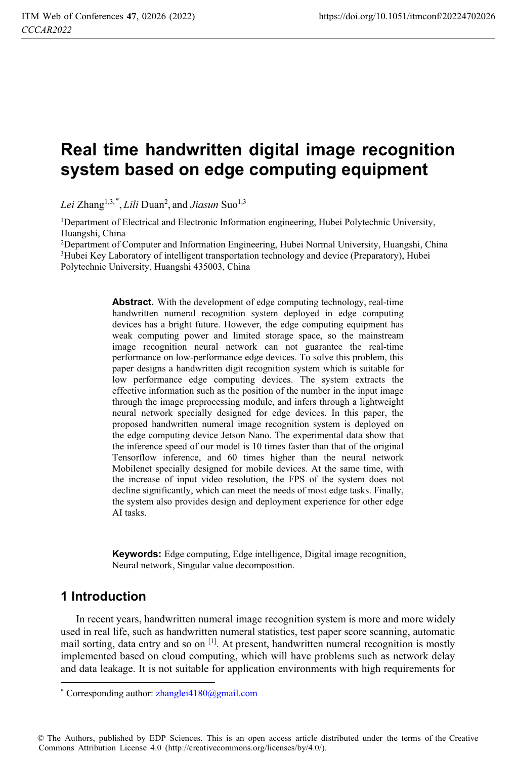# **Real time handwritten digital image recognition system based on edge computing equipment**

*Lei* Zhang1,3,\* , *Lili* Duan2 , and *Jiasun* Suo1,3

1Department of Electrical and Electronic Information engineering, Hubei Polytechnic University, Huangshi, China

<sup>2</sup>Department of Computer and Information Engineering, Hubei Normal University, Huangshi, China <sup>3</sup>Hubei Key Laboratory of intelligent transportation technology and device (Preparatory), Hubei Polytechnic University, Huangshi 435003, China

> **Abstract.** With the development of edge computing technology, real-time handwritten numeral recognition system deployed in edge computing devices has a bright future. However, the edge computing equipment has weak computing power and limited storage space, so the mainstream image recognition neural network can not guarantee the real-time performance on low-performance edge devices. To solve this problem, this paper designs a handwritten digit recognition system which is suitable for low performance edge computing devices. The system extracts the effective information such as the position of the number in the input image through the image preprocessing module, and infers through a lightweight neural network specially designed for edge devices. In this paper, the proposed handwritten numeral image recognition system is deployed on the edge computing device Jetson Nano. The experimental data show that the inference speed of our model is 10 times faster than that of the original Tensorflow inference, and 60 times higher than the neural network Mobilenet specially designed for mobile devices. At the same time, with the increase of input video resolution, the FPS of the system does not decline significantly, which can meet the needs of most edge tasks. Finally, the system also provides design and deployment experience for other edge AI tasks.

> **Keywords:** Edge computing, Edge intelligence, Digital image recognition, Neural network, Singular value decomposition.

# **1 Introduction**

 $\overline{a}$ 

In recent years, handwritten numeral image recognition system is more and more widely used in real life, such as handwritten numeral statistics, test paper score scanning, automatic mail sorting, data entry and so on  $\left[1\right]$ . At present, handwritten numeral recognition is mostly implemented based on cloud computing, which will have problems such as network delay and data leakage. It is not suitable for application environments with high requirements for

© The Authors, published by EDP Sciences. This is an open access article distributed under the terms of the Creative Commons Attribution License 4.0 (http://creativecommons.org/licenses/by/4.0/).

<sup>\*</sup> Corresponding author: zhanglei4180@gmail.com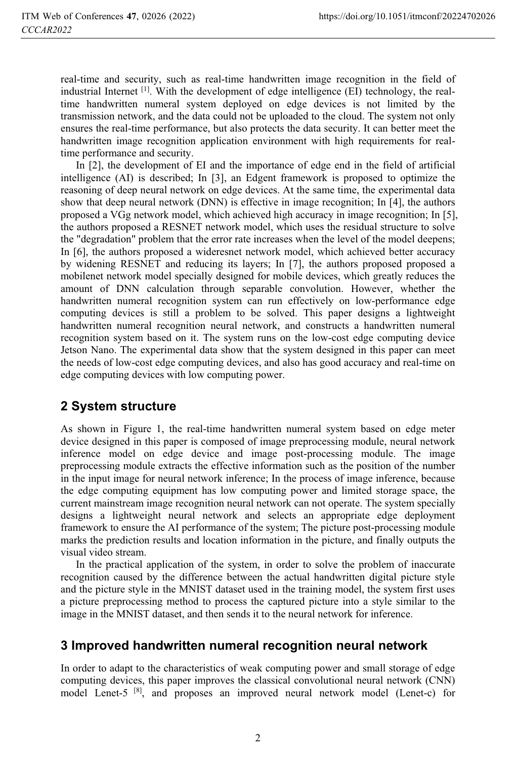real-time and security, such as real-time handwritten image recognition in the field of industrial Internet  $<sup>[1]</sup>$ . With the development of edge intelligence (EI) technology, the real-</sup> time handwritten numeral system deployed on edge devices is not limited by the transmission network, and the data could not be uploaded to the cloud. The system not only ensures the real-time performance, but also protects the data security. It can better meet the handwritten image recognition application environment with high requirements for realtime performance and security.

In [2], the development of EI and the importance of edge end in the field of artificial intelligence (AI) is described; In [3], an Edgent framework is proposed to optimize the reasoning of deep neural network on edge devices. At the same time, the experimental data show that deep neural network (DNN) is effective in image recognition; In [4], the authors proposed a VGg network model, which achieved high accuracy in image recognition; In [5], the authors proposed a RESNET network model, which uses the residual structure to solve the "degradation" problem that the error rate increases when the level of the model deepens; In [6], the authors proposed a wideresnet network model, which achieved better accuracy by widening RESNET and reducing its layers; In [7], the authors proposed proposed a mobilenet network model specially designed for mobile devices, which greatly reduces the amount of DNN calculation through separable convolution. However, whether the handwritten numeral recognition system can run effectively on low-performance edge computing devices is still a problem to be solved. This paper designs a lightweight handwritten numeral recognition neural network, and constructs a handwritten numeral recognition system based on it. The system runs on the low-cost edge computing device Jetson Nano. The experimental data show that the system designed in this paper can meet the needs of low-cost edge computing devices, and also has good accuracy and real-time on edge computing devices with low computing power.

# **2 System structure**

As shown in Figure 1, the real-time handwritten numeral system based on edge meter device designed in this paper is composed of image preprocessing module, neural network inference model on edge device and image post-processing module. The image preprocessing module extracts the effective information such as the position of the number in the input image for neural network inference; In the process of image inference, because the edge computing equipment has low computing power and limited storage space, the current mainstream image recognition neural network can not operate. The system specially designs a lightweight neural network and selects an appropriate edge deployment framework to ensure the AI performance of the system; The picture post-processing module marks the prediction results and location information in the picture, and finally outputs the visual video stream.

In the practical application of the system, in order to solve the problem of inaccurate recognition caused by the difference between the actual handwritten digital picture style and the picture style in the MNIST dataset used in the training model, the system first uses a picture preprocessing method to process the captured picture into a style similar to the image in the MNIST dataset, and then sends it to the neural network for inference.

#### **3 Improved handwritten numeral recognition neural network**

In order to adapt to the characteristics of weak computing power and small storage of edge computing devices, this paper improves the classical convolutional neural network (CNN) model Lenet-5 [8], and proposes an improved neural network model (Lenet-c) for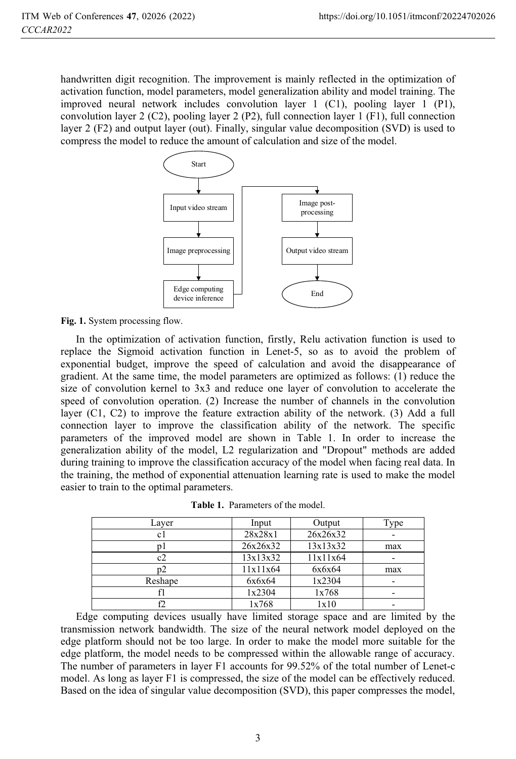handwritten digit recognition. The improvement is mainly reflected in the optimization of activation function, model parameters, model generalization ability and model training. The improved neural network includes convolution layer 1 (C1), pooling layer 1 (P1), convolution layer 2 (C2), pooling layer 2 (P2), full connection layer 1 (F1), full connection layer 2 (F2) and output layer (out). Finally, singular value decomposition (SVD) is used to compress the model to reduce the amount of calculation and size of the model.



Fig. 1. System processing flow.

In the optimization of activation function, firstly, Relu activation function is used to replace the Sigmoid activation function in Lenet-5, so as to avoid the problem of exponential budget, improve the speed of calculation and avoid the disappearance of gradient. At the same time, the model parameters are optimized as follows: (1) reduce the size of convolution kernel to 3x3 and reduce one layer of convolution to accelerate the speed of convolution operation. (2) Increase the number of channels in the convolution layer (C1, C2) to improve the feature extraction ability of the network. (3) Add a full connection layer to improve the classification ability of the network. The specific parameters of the improved model are shown in Table 1. In order to increase the generalization ability of the model, L2 regularization and "Dropout" methods are added during training to improve the classification accuracy of the model when facing real data. In the training, the method of exponential attenuation learning rate is used to make the model easier to train to the optimal parameters.

| Layer   | Input    | Output   | Type |
|---------|----------|----------|------|
| cl      | 28x28x1  | 26x26x32 |      |
|         | 26x26x32 | 13x13x32 | max  |
| c2      | 13x13x32 | 11x11x64 |      |
| p2      | 11x11x64 | 6x6x64   | max  |
| Reshape | 6x6x64   | 1x2304   |      |
|         | 1x2304   | 1x768    |      |
|         | 1x768    | 1x10     |      |

**Table 1.** Parameters of the model.

Edge computing devices usually have limited storage space and are limited by the transmission network bandwidth. The size of the neural network model deployed on the edge platform should not be too large. In order to make the model more suitable for the edge platform, the model needs to be compressed within the allowable range of accuracy. The number of parameters in layer F1 accounts for 99.52% of the total number of Lenet-c model. As long as layer F1 is compressed, the size of the model can be effectively reduced. Based on the idea of singular value decomposition (SVD), this paper compresses the model,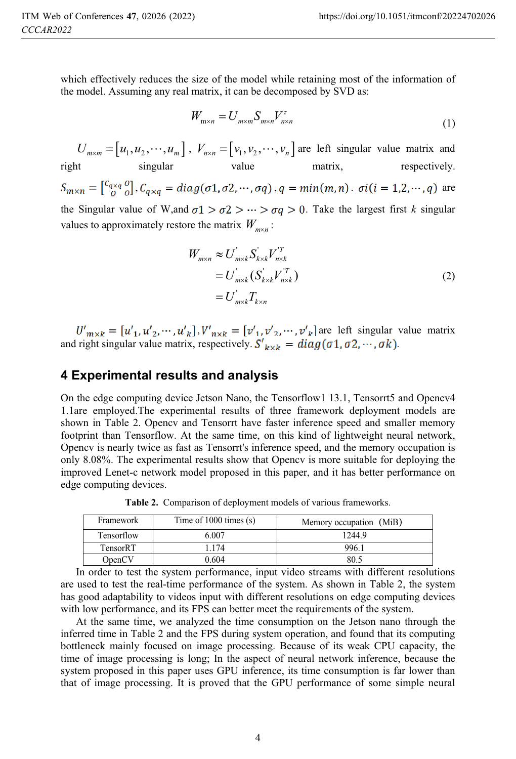which effectively reduces the size of the model while retaining most of the information of the model. Assuming any real matrix, it can be decomposed by SVD as:

$$
W_{\mathbf{m}\times n} = U_{m\times m} S_{m\times n} V_{n\times n}^{\tau}
$$
\n<sup>(1)</sup>

 $U_{m \times m} = [u_1, u_2, \cdots, u_m]$ ,  $V_{n \times n} = [v_1, v_2, \cdots, v_n]$  are left singular value matrix and right singular value matrix, respectively.  $S_{m\times n} = \begin{bmatrix} c_{q\times q} & o \\ o & o \end{bmatrix}$ ,  $C_{q\times q} = diag(\sigma 1, \sigma 2, \cdots, \sigma q)$ ,  $q = min(m, n)$ .  $\sigma i (i = 1, 2, \cdots, q)$  are the Singular value of W,and  $\sigma_1 > \sigma_2 > \cdots > \sigma_q > 0$ . Take the largest first *k* singular values to approximately restore the matrix  $W_{m \times n}$ :

$$
W_{m \times n} \approx U_{m \times k}^{'} S_{k \times k}^{'} V_{n \times k}^{'}\n= U_{m \times k}^{'} (S_{k \times k}^{'} V_{n \times k}^{'} )\n= U_{m \times k}^{'} T_{k \times n}
$$
\n(2)

 $, V'_{n \times k} = [v'_{1}, v'_{2}, \cdots, v'_{k}]$  are left singular value matrix and right singular value matrix, respectively.  $S'_{k \times k} = diag(\sigma 1, \sigma 2, \cdots, \sigma k)$ .

#### **4 Experimental results and analysis**

On the edge computing device Jetson Nano, the Tensorflow1 13.1, Tensorrt5 and Opencv4 1.1are employed.The experimental results of three framework deployment models are shown in Table 2. Opencv and Tensorrt have faster inference speed and smaller memory footprint than Tensorflow. At the same time, on this kind of lightweight neural network, Opencv is nearly twice as fast as Tensorrt's inference speed, and the memory occupation is only 8.08%. The experimental results show that Opencv is more suitable for deploying the improved Lenet-c network model proposed in this paper, and it has better performance on edge computing devices.

| Framework  | Time of $1000$ times $(s)$ | Memory occupation (MiB) |
|------------|----------------------------|-------------------------|
| Tensorflow | 6.007                      | 1244.9                  |
| TensorRT   | 174                        | 996.1                   |
| OpenCV     | 0.604                      | 80.5                    |

**Table 2.** Comparison of deployment models of various frameworks.

In order to test the system performance, input video streams with different resolutions are used to test the real-time performance of the system. As shown in Table 2, the system has good adaptability to videos input with different resolutions on edge computing devices with low performance, and its FPS can better meet the requirements of the system.

At the same time, we analyzed the time consumption on the Jetson nano through the inferred time in Table 2 and the FPS during system operation, and found that its computing bottleneck mainly focused on image processing. Because of its weak CPU capacity, the time of image processing is long; In the aspect of neural network inference, because the system proposed in this paper uses GPU inference, its time consumption is far lower than that of image processing. It is proved that the GPU performance of some simple neural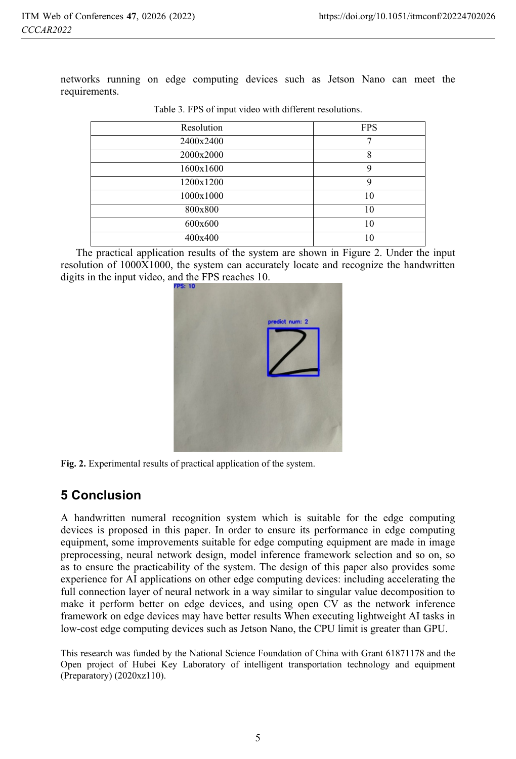networks running on edge computing devices such as Jetson Nano can meet the requirements.

| Resolution | <b>FPS</b>  |
|------------|-------------|
| 2400x2400  | −           |
| 2000x2000  | 8           |
| 1600x1600  | $\mathbf Q$ |
| 1200x1200  | $\mathbf Q$ |
| 1000x1000  | 10          |
| 800x800    | 10          |
| 600x600    | 10          |
| 400x400    | 10          |

Table 3. FPS of input video with different resolutions.

The practical application results of the system are shown in Figure 2. Under the input resolution of 1000X1000, the system can accurately locate and recognize the handwritten digits in the input video, and the FPS reaches 10.



**Fig. 2.** Experimental results of practical application of the system.

# **5 Conclusion**

A handwritten numeral recognition system which is suitable for the edge computing devices is proposed in this paper. In order to ensure its performance in edge computing equipment, some improvements suitable for edge computing equipment are made in image preprocessing, neural network design, model inference framework selection and so on, so as to ensure the practicability of the system. The design of this paper also provides some experience for AI applications on other edge computing devices: including accelerating the full connection layer of neural network in a way similar to singular value decomposition to make it perform better on edge devices, and using open CV as the network inference framework on edge devices may have better results When executing lightweight AI tasks in low-cost edge computing devices such as Jetson Nano, the CPU limit is greater than GPU.

This research was funded by the National Science Foundation of China with Grant 61871178 and the Open project of Hubei Key Laboratory of intelligent transportation technology and equipment (Preparatory) (2020xz110).